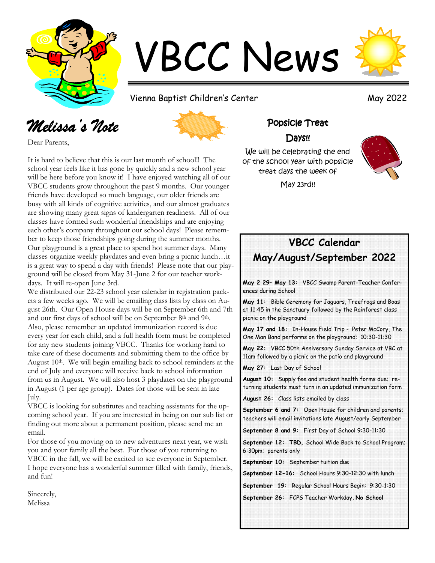

# VBCC News

Vienna Baptist Children's Center May 2022

### *Melissa's Note*



Dear Parents,

It is hard to believe that this is our last month of school!! The school year feels like it has gone by quickly and a new school year will be here before you know it! I have enjoyed watching all of our VBCC students grow throughout the past 9 months. Our younger friends have developed so much language, our older friends are busy with all kinds of cognitive activities, and our almost graduates are showing many great signs of kindergarten readiness. All of our classes have formed such wonderful friendships and are enjoying each other's company throughout our school days! Please remember to keep those friendships going during the summer months. Our playground is a great place to spend hot summer days. Many classes organize weekly playdates and even bring a picnic lunch…it is a great way to spend a day with friends! Please note that our playground will be closed from May 31-June 2 for our teacher workdays. It will re-open June 3rd.

We distributed our 22-23 school year calendar in registration packets a few weeks ago. We will be emailing class lists by class on August 26th. Our Open House days will be on September 6th and 7th and our first days of school will be on September 8th and 9th. Also, please remember an updated immunization record is due every year for each child, and a full health form must be completed for any new students joining VBCC. Thanks for working hard to take care of these documents and submitting them to the office by August 10<sup>th</sup>. We will begin emailing back to school reminders at the end of July and everyone will receive back to school information from us in August. We will also host 3 playdates on the playground in August (1 per age group). Dates for those will be sent in late July.

VBCC is looking for substitutes and teaching assistants for the upcoming school year. If you are interested in being on our sub list or finding out more about a permanent position, please send me an email.

For those of you moving on to new adventures next year, we wish you and your family all the best. For those of you returning to VBCC in the fall, we will be excited to see everyone in September. I hope everyone has a wonderful summer filled with family, friends, and fun!

Sincerely, Melissa

#### Popsicle Treat

#### Days!!

We will be celebrating the end of the school year with popsicle treat days the week of

May 23rd!!

#### **VBCC Calendar May/August/September 2022**

**May 2 29– May 13:** VBCC Swamp Parent-Teacher Conferences during School

**May 11:** Bible Ceremony for Jaguars, Treefrogs and Boas at 11:45 in the Sanctuary followed by the Rainforest class picnic on the playground

**May 17 and 18:** In-House Field Trip - Peter McCory, The One Man Band performs on the playground; 10:30-11:30

**May 22:** VBCC 50th Anniversary Sunday Service at VBC at 11am followed by a picnic on the patio and playground

**May 27:** Last Day of School

**August 10:** Supply fee and student health forms due; returning students must turn in an updated immunization form

**August 26:** Class lists emailed by class

**September 6 and 7:** Open House for children and parents; teachers will email invitations late August/early September

**September 8 and 9:** First Day of School 9:30-11:30

**September 12: TBD,** School Wide Back to School Program; 6:30pm; parents only

**September 10:** September tuition due

**September 12-16:** School Hours 9:30-12:30 with lunch

**September 19:** Regular School Hours Begin: 9:30-1:30

**September 26:** FCPS Teacher Workday, **No School**